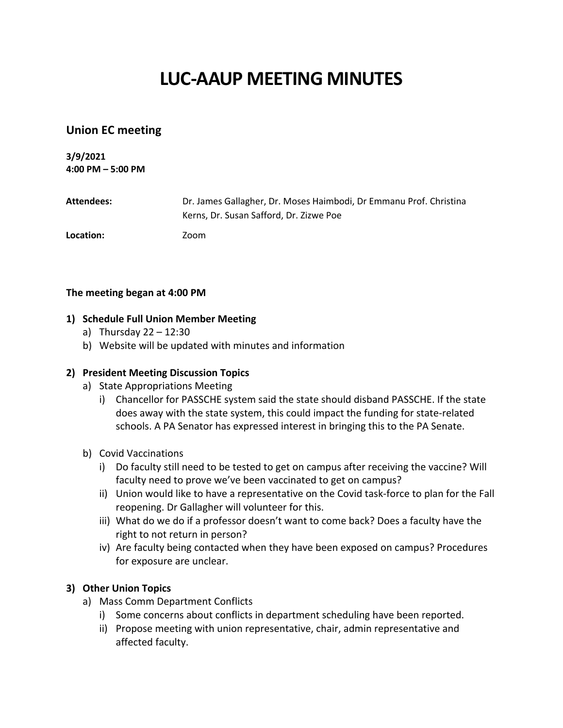# **LUC-AAUP MEETING MINUTES**

## **Union EC meeting**

**3/9/2021 4:00 PM – 5:00 PM**

| Attendees: | Dr. James Gallagher, Dr. Moses Haimbodi, Dr Emmanu Prof. Christina |
|------------|--------------------------------------------------------------------|
|            | Kerns, Dr. Susan Safford, Dr. Zizwe Poe                            |
| Location:  | Zoom                                                               |

#### **The meeting began at 4:00 PM**

#### **1) Schedule Full Union Member Meeting**

- a) Thursday 22 12:30
- b) Website will be updated with minutes and information

#### **2) President Meeting Discussion Topics**

- a) State Appropriations Meeting
	- i) Chancellor for PASSCHE system said the state should disband PASSCHE. If the state does away with the state system, this could impact the funding for state-related schools. A PA Senator has expressed interest in bringing this to the PA Senate.
- b) Covid Vaccinations
	- i) Do faculty still need to be tested to get on campus after receiving the vaccine? Will faculty need to prove we've been vaccinated to get on campus?
	- ii) Union would like to have a representative on the Covid task-force to plan for the Fall reopening. Dr Gallagher will volunteer for this.
	- iii) What do we do if a professor doesn't want to come back? Does a faculty have the right to not return in person?
	- iv) Are faculty being contacted when they have been exposed on campus? Procedures for exposure are unclear.

### **3) Other Union Topics**

- a) Mass Comm Department Conflicts
	- i) Some concerns about conflicts in department scheduling have been reported.
	- ii) Propose meeting with union representative, chair, admin representative and affected faculty.